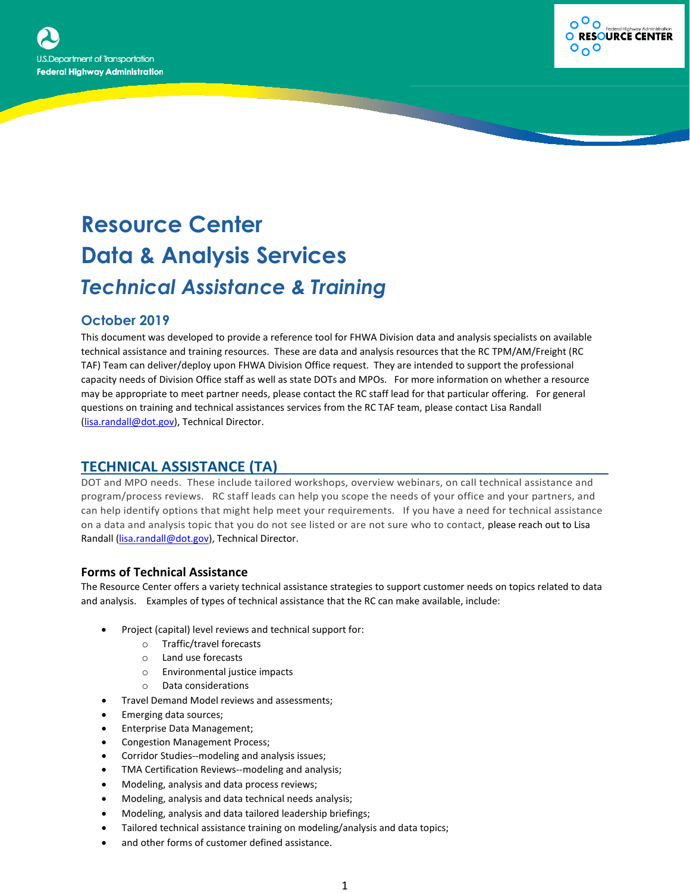



# **Resource Center Data & Analysis Services** *Technical Assistance & Training*

## **October 2019**

This document was developed to provide a reference tool for FHWA Division data and analysis specialists on available technical assistance and training resources. These are data and analysis resources that the RC TPM/AM/Freight (RC TAF) Team can deliver/deploy upon FHWA Division Office request. They are intended to support the professional capacity needs of Division Office staff as well as state DOTs and MPOs. For more information on whether a resource may be appropriate to meet partner needs, please contact the RC staff lead for that particular offering. For general questions on training and technical assistances services from the RC TAF team, please contact Lisa Randall [\(lisa.randall@dot.gov\)](mailto:lisa.randall@dot.gov), Technical Director.

# **TECHNICAL ASSISTANCE (TA)**

DOT and MPO needs. These include tailored workshops, overview webinars, on call technical assistance and program/process reviews. RC staff leads can help you scope the needs of your office and your partners, and can help identify options that might help meet your requirements. If you have a need for technical assistance on a data and analysis topic that you do not see listed or are not sure who to contact, please reach out to Lisa Randall [\(lisa.randall@dot.gov\)](mailto:lisa.randall@dot.gov), Technical Director.

## **Forms of Technical Assistance**

The Resource Center offers a variety technical assistance strategies to support customer needs on topics related to data and analysis. Examples of types of technical assistance that the RC can make available, include:

- Project (capital) level reviews and technical support for:
	- o Traffic/travel forecasts
	- o Land use forecasts
	- o Environmental justice impacts
	- o Data considerations
- Travel Demand Model reviews and assessments;
- Emerging data sources;
- Enterprise Data Management;
- Congestion Management Process;
- Corridor Studies--modeling and analysis issues;
- TMA Certification Reviews--modeling and analysis;
- Modeling, analysis and data process reviews;
- Modeling, analysis and data technical needs analysis;
- Modeling, analysis and data tailored leadership briefings;
- Tailored technical assistance training on modeling/analysis and data topics;
- and other forms of customer defined assistance.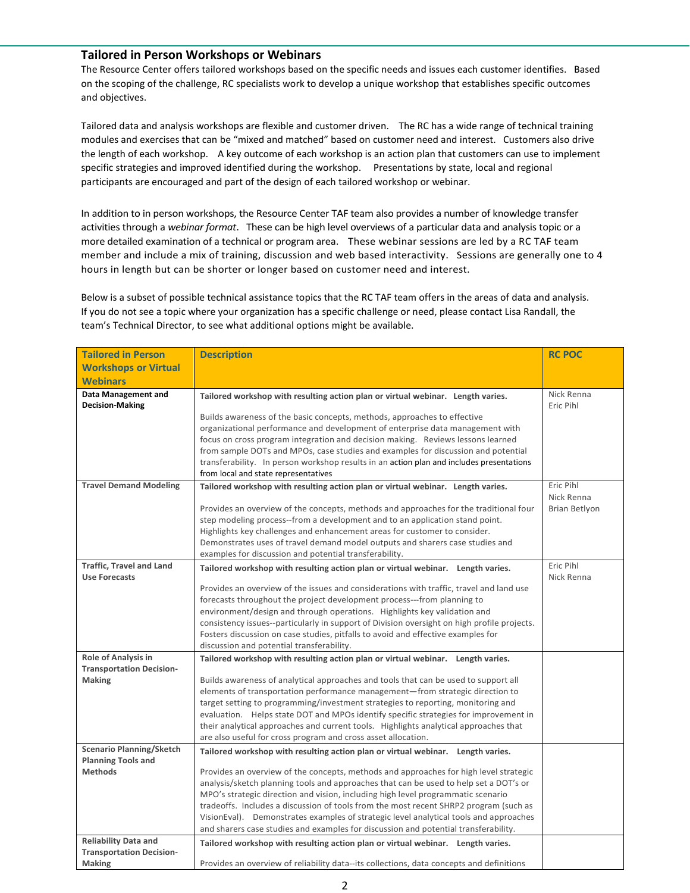### **Tailored in Person Workshops or Webinars**

The Resource Center offers tailored workshops based on the specific needs and issues each customer identifies. Based on the scoping of the challenge, RC specialists work to develop a unique workshop that establishes specific outcomes and objectives.

Tailored data and analysis workshops are flexible and customer driven. The RC has a wide range of technical training modules and exercises that can be "mixed and matched" based on customer need and interest. Customers also drive the length of each workshop. A key outcome of each workshop is an action plan that customers can use to implement specific strategies and improved identified during the workshop. Presentations by state, local and regional participants are encouraged and part of the design of each tailored workshop or webinar.

In addition to in person workshops, the Resource Center TAF team also provides a number of knowledge transfer activities through a *webinar format*. These can be high level overviews of a particular data and analysis topic or a more detailed examination of a technical or program area. These webinar sessions are led by a RC TAF team member and include a mix of training, discussion and web based interactivity. Sessions are generally one to 4 hours in length but can be shorter or longer based on customer need and interest.

Below is a subset of possible technical assistance topics that the RC TAF team offers in the areas of data and analysis. If you do not see a topic where your organization has a specific challenge or need, please contact Lisa Randall, the team's Technical Director, to see what additional options might be available.

| <b>Tailored in Person</b>                                                       | <b>Description</b>                                                                                                                                                                                                                                                                                                                                                                                                                                                                                                                                                                                                             | <b>RC POC</b>                            |
|---------------------------------------------------------------------------------|--------------------------------------------------------------------------------------------------------------------------------------------------------------------------------------------------------------------------------------------------------------------------------------------------------------------------------------------------------------------------------------------------------------------------------------------------------------------------------------------------------------------------------------------------------------------------------------------------------------------------------|------------------------------------------|
| <b>Workshops or Virtual</b>                                                     |                                                                                                                                                                                                                                                                                                                                                                                                                                                                                                                                                                                                                                |                                          |
| <b>Webinars</b>                                                                 |                                                                                                                                                                                                                                                                                                                                                                                                                                                                                                                                                                                                                                |                                          |
| Data Management and<br><b>Decision-Making</b>                                   | Tailored workshop with resulting action plan or virtual webinar. Length varies.<br>Builds awareness of the basic concepts, methods, approaches to effective<br>organizational performance and development of enterprise data management with<br>focus on cross program integration and decision making. Reviews lessons learned<br>from sample DOTs and MPOs, case studies and examples for discussion and potential<br>transferability. In person workshop results in an action plan and includes presentations                                                                                                               | Nick Renna<br>Eric Pihl                  |
|                                                                                 | from local and state representatives                                                                                                                                                                                                                                                                                                                                                                                                                                                                                                                                                                                           |                                          |
| <b>Travel Demand Modeling</b>                                                   | Tailored workshop with resulting action plan or virtual webinar. Length varies.<br>Provides an overview of the concepts, methods and approaches for the traditional four<br>step modeling process--from a development and to an application stand point.<br>Highlights key challenges and enhancement areas for customer to consider.<br>Demonstrates uses of travel demand model outputs and sharers case studies and<br>examples for discussion and potential transferability.                                                                                                                                               | Eric Pihl<br>Nick Renna<br>Brian Betlyon |
| <b>Traffic, Travel and Land</b><br><b>Use Forecasts</b>                         | Tailored workshop with resulting action plan or virtual webinar. Length varies.<br>Provides an overview of the issues and considerations with traffic, travel and land use<br>forecasts throughout the project development process---from planning to<br>environment/design and through operations. Highlights key validation and<br>consistency issues--particularly in support of Division oversight on high profile projects.<br>Fosters discussion on case studies, pitfalls to avoid and effective examples for<br>discussion and potential transferability.                                                              | Eric Pihl<br>Nick Renna                  |
| Role of Analysis in<br><b>Transportation Decision-</b><br>Making                | Tailored workshop with resulting action plan or virtual webinar. Length varies.<br>Builds awareness of analytical approaches and tools that can be used to support all<br>elements of transportation performance management—from strategic direction to<br>target setting to programming/investment strategies to reporting, monitoring and<br>evaluation. Helps state DOT and MPOs identify specific strategies for improvement in<br>their analytical approaches and current tools. Highlights analytical approaches that<br>are also useful for cross program and cross asset allocation.                                   |                                          |
| <b>Scenario Planning/Sketch</b><br><b>Planning Tools and</b><br><b>Methods</b>  | Tailored workshop with resulting action plan or virtual webinar. Length varies.<br>Provides an overview of the concepts, methods and approaches for high level strategic<br>analysis/sketch planning tools and approaches that can be used to help set a DOT's or<br>MPO's strategic direction and vision, including high level programmatic scenario<br>tradeoffs. Includes a discussion of tools from the most recent SHRP2 program (such as<br>VisionEval). Demonstrates examples of strategic level analytical tools and approaches<br>and sharers case studies and examples for discussion and potential transferability. |                                          |
| <b>Reliability Data and</b><br><b>Transportation Decision-</b><br><b>Making</b> | Tailored workshop with resulting action plan or virtual webinar. Length varies.<br>Provides an overview of reliability data--its collections, data concepts and definitions                                                                                                                                                                                                                                                                                                                                                                                                                                                    |                                          |